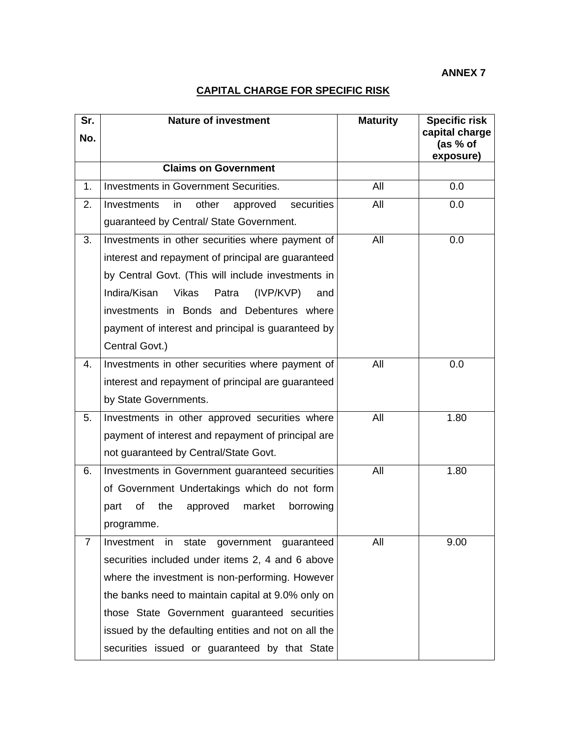**ANNEX 7** 

## **CAPITAL CHARGE FOR SPECIFIC RISK**

| Sr.<br>No. | <b>Nature of investment</b>                                                                      | <b>Maturity</b> | <b>Specific risk</b><br>capital charge |
|------------|--------------------------------------------------------------------------------------------------|-----------------|----------------------------------------|
|            |                                                                                                  |                 | (as % of<br>exposure)                  |
|            | <b>Claims on Government</b>                                                                      |                 |                                        |
| 1.         | Investments in Government Securities.                                                            | All             | 0.0                                    |
| 2.         | securities<br>other<br>Investments<br>in<br>approved<br>guaranteed by Central/ State Government. | All             | 0.0                                    |
| 3.         | Investments in other securities where payment of                                                 | All             | 0.0                                    |
|            | interest and repayment of principal are guaranteed                                               |                 |                                        |
|            | by Central Govt. (This will include investments in                                               |                 |                                        |
|            | Indira/Kisan<br><b>Vikas</b><br>Patra<br>(IVP/KVP)<br>and                                        |                 |                                        |
|            | investments in Bonds and Debentures where                                                        |                 |                                        |
|            | payment of interest and principal is guaranteed by                                               |                 |                                        |
|            | Central Govt.)                                                                                   |                 |                                        |
| 4.         | Investments in other securities where payment of                                                 | All             | 0.0                                    |
|            | interest and repayment of principal are guaranteed                                               |                 |                                        |
|            | by State Governments.                                                                            |                 |                                        |
| 5.         | Investments in other approved securities where                                                   | All             | 1.80                                   |
|            | payment of interest and repayment of principal are                                               |                 |                                        |
|            | not guaranteed by Central/State Govt.                                                            |                 |                                        |
| 6.         | Investments in Government guaranteed securities                                                  | All             | 1.80                                   |
|            | of Government Undertakings which do not form                                                     |                 |                                        |
|            | of<br>the<br>market<br>approved<br>borrowing<br>part                                             |                 |                                        |
|            | programme.                                                                                       |                 |                                        |
| 7          | state<br>government<br>Investment<br><i>in</i><br>guaranteed                                     | All             | 9.00                                   |
|            | securities included under items 2, 4 and 6 above                                                 |                 |                                        |
|            | where the investment is non-performing. However                                                  |                 |                                        |
|            | the banks need to maintain capital at 9.0% only on                                               |                 |                                        |
|            | those State Government guaranteed securities                                                     |                 |                                        |
|            | issued by the defaulting entities and not on all the                                             |                 |                                        |
|            | securities issued or guaranteed by that State                                                    |                 |                                        |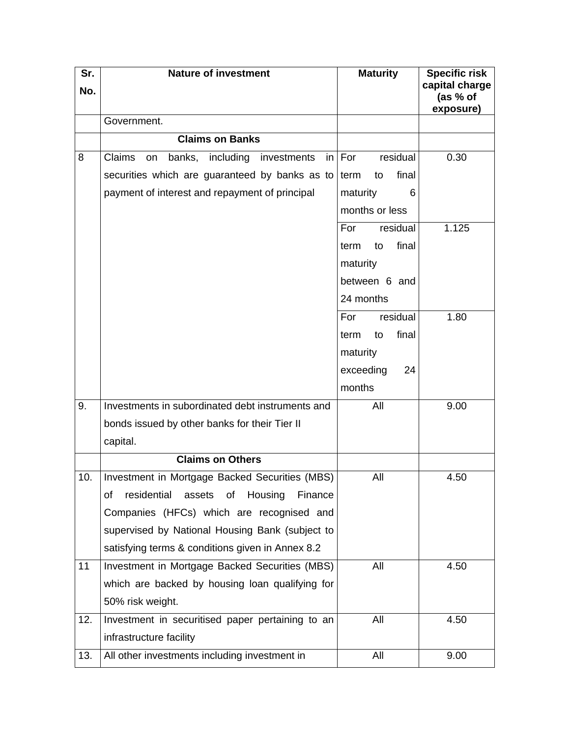| Sr. | <b>Nature of investment</b>                             | <b>Maturity</b>     | <b>Specific risk</b><br>capital charge |
|-----|---------------------------------------------------------|---------------------|----------------------------------------|
| No. |                                                         |                     | (as % of<br>exposure)                  |
|     | Government.                                             |                     |                                        |
|     | <b>Claims on Banks</b>                                  |                     |                                        |
| 8   | Claims<br>banks, including<br>investments<br>on<br>in   | residual<br>For     | 0.30                                   |
|     | securities which are guaranteed by banks as to          | final<br>term<br>to |                                        |
|     | payment of interest and repayment of principal          | maturity<br>6       |                                        |
|     |                                                         | months or less      |                                        |
|     |                                                         | residual<br>For     | 1.125                                  |
|     |                                                         | final<br>to<br>term |                                        |
|     |                                                         | maturity            |                                        |
|     |                                                         | between 6 and       |                                        |
|     |                                                         | 24 months           |                                        |
|     |                                                         | residual<br>For     | 1.80                                   |
|     |                                                         | final<br>to<br>term |                                        |
|     |                                                         | maturity            |                                        |
|     |                                                         | exceeding<br>24     |                                        |
|     |                                                         | months              |                                        |
| 9.  | Investments in subordinated debt instruments and        | All                 | 9.00                                   |
|     | bonds issued by other banks for their Tier II           |                     |                                        |
|     | capital.                                                |                     |                                        |
|     | <b>Claims on Others</b>                                 |                     |                                        |
| 10. | Investment in Mortgage Backed Securities (MBS)          | All                 | 4.50                                   |
|     | Housing<br>residential<br>assets<br>of<br>Finance<br>οf |                     |                                        |
|     | Companies (HFCs) which are recognised and               |                     |                                        |
|     | supervised by National Housing Bank (subject to         |                     |                                        |
|     | satisfying terms & conditions given in Annex 8.2        |                     |                                        |
| 11  | Investment in Mortgage Backed Securities (MBS)          | All                 | 4.50                                   |
|     | which are backed by housing loan qualifying for         |                     |                                        |
|     | 50% risk weight.                                        |                     |                                        |
| 12. | Investment in securitised paper pertaining to an        | All                 | 4.50                                   |
|     | infrastructure facility                                 |                     |                                        |
| 13. | All other investments including investment in           | All                 | 9.00                                   |